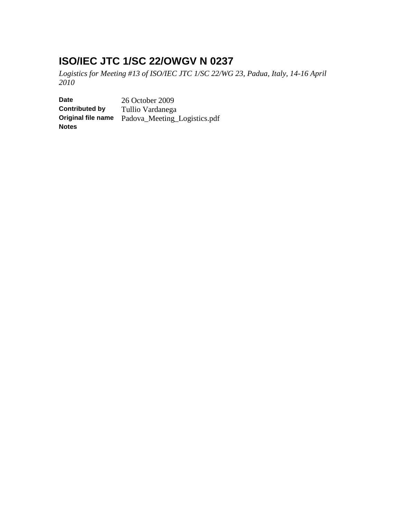# **ISO/IEC JTC 1/SC 22/OWGV N 0237**

*Logistics for Meeting #13 of ISO/IEC JTC 1/SC 22/WG 23, Padua, Italy, 14-16 April 2010*

**Date** 26 October 2009<br>**Contributed by** Tullio Vardanega **Tullio Vardanega Original file name** Padova\_Meeting\_Logistics.pdf **Notes**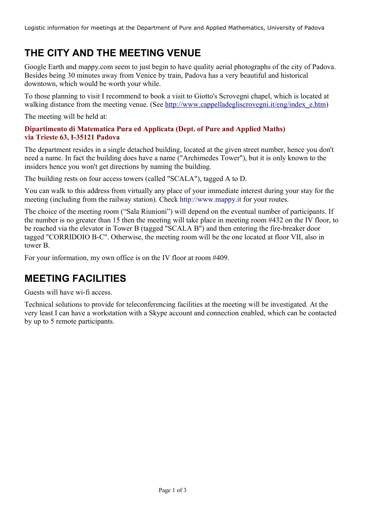# **THE CITY AND THE MEETING VENUE**

Google Earth and mappy.com seem to just begin to have quality aerial photographs of the city of Padova. Besides being 30 minutes away from Venice by train, Padova has a very beautiful and historical downtown, which would be worth your while.

To those planning to visit I recommend to book a visit to Giotto's Scrovegni chapel, which is located at walking distance from the meeting venue. (See [http://www.cappelladegliscrovegni.it/eng/index\\_e.htm\)](http://www.cappelladegliscrovegni.it/eng/index_e.htm)

The meeting will be held at:

#### **Dipartimento di Matematica Pura ed Applicata (Dept. of Pure and Applied Maths) via Trieste 63, I-35121 Padova**

The department resides in a single detached building, located at the given street number, hence you don't need a name. In fact the building does have a name ("Archimedes Tower"), but it is only known to the insiders hence you won't get directions by naming the building.

The building rests on four access towers (called "SCALA"), tagged A to D.

You can walk to this address from virtually any place of your immediate interest during your stay for the meeting (including from the railway station). Check http://www.mappy.it for your routes.

The choice of the meeting room ("Sala Riunioni") will depend on the eventual number of participants. If the number is no greater than 15 then the meeting will take place in meeting room #432 on the IV floor, to be reached via the elevator in Tower B (tagged "SCALA B") and then entering the fire-breaker door tagged "CORRIDOIO B-C". Otherwise, the meeting room will be the one located at floor VII, also in tower B.

For your information, my own office is on the IV floor at room #409.

# **MEETING FACILITIES**

Guests will have wi-fi access.

Technical solutions to provide for teleconferencing facilities at the meeting will be investigated. At the very least I can have a workstation with a Skype account and connection enabled, which can be contacted by up to 5 remote participants.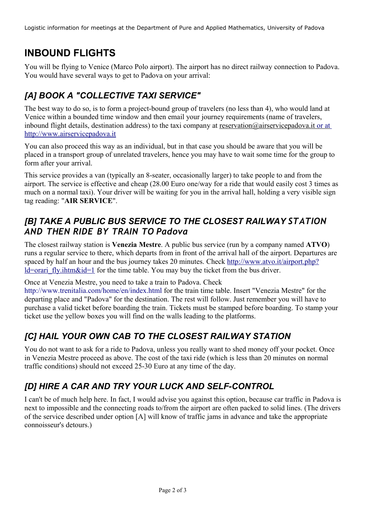# **INBOUND FLIGHTS**

You will be flying to Venice (Marco Polo airport). The airport has no direct railway connection to Padova. You would have several ways to get to Padova on your arrival:

## *[A] BOOK A "COLLECTIVE TAXI SERVICE"*

The best way to do so, is to form a project-bound group of travelers (no less than 4), who would land at Venice within a bounded time window and then email your journey requirements (name of travelers, inbound flight details, destination address) to the taxi company at [reservation@airservicepadova.it or at](mailto:reservation@airservicepadova.it) [http://www.airservicepadova.it](http://www.airservicepadova.it/en)

You can also proceed this way as an individual, but in that case you should be aware that you will be placed in a transport group of unrelated travelers, hence you may have to wait some time for the group to form after your arrival.

This service provides a van (typically an 8-seater, occasionally larger) to take people to and from the airport. The service is effective and cheap (28.00 Euro one/way for a ride that would easily cost 3 times as much on a normal taxi). Your driver will be waiting for you in the arrival hall, holding a very visible sign tag reading: "**AIR SERVICE**".

### *[B] TAKE A PUBLIC BUS SERVICE TO THE CLOSEST RAILWAY STATION AND THEN RIDE BY TRAIN TO Padova*

The closest railway station is **Venezia Mestre**. A public bus service (run by a company named **ATVO**) runs a regular service to there, which departs from in front of the arrival hall of the airport. Departures are spaced by half an hour and the bus journey takes 20 minutes. Check [http://www.atvo.it/airport.php?](http://www.atvo.it/airport.php?ld=orari_fly.ihtm&id=1)  $ld = \text{or}$  intermity. Intermity. Intermediate time table. You may buy the ticket from the bus driver.

Once at Venezia Mestre, you need to take a train to Padova. Check

http://www.trenitalia.com/home/en/index.html for the train time table. Insert "Venezia Mestre" for the departing place and "Padova" for the destination. The rest will follow. Just remember you will have to purchase a valid ticket before boarding the train. Tickets must be stamped before boarding. To stamp your ticket use the yellow boxes you will find on the walls leading to the platforms.

### *[C] HAIL YOUR OWN CAB TO THE CLOSEST RAILWAY STATION*

You do not want to ask for a ride to Padova, unless you really want to shed money off your pocket. Once in Venezia Mestre proceed as above. The cost of the taxi ride (which is less than 20 minutes on normal traffic conditions) should not exceed 25-30 Euro at any time of the day.

### *[D] HIRE A CAR AND TRY YOUR LUCK AND SELF-CONTROL*

I can't be of much help here. In fact, I would advise you against this option, because car traffic in Padova is next to impossible and the connecting roads to/from the airport are often packed to solid lines. (The drivers of the service described under option [A] will know of traffic jams in advance and take the appropriate connoisseur's detours.)